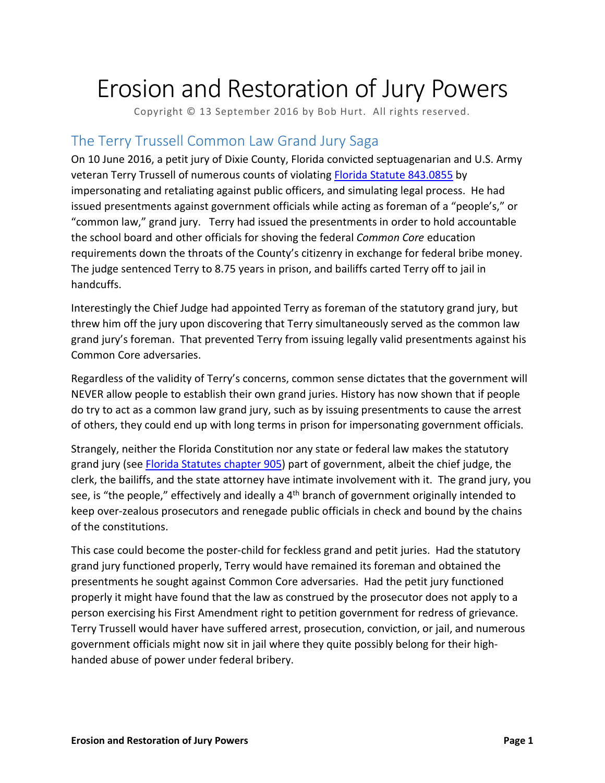# Erosion and Restoration of Jury Powers

Copyright © 13 September 2016 by Bob Hurt. All rights reserved.

#### The Terry Trussell Common Law Grand Jury Saga

On 10 June 2016, a petit jury of Dixie County, Florida convicted septuagenarian and U.S. Army veteran Terry Trussell of numerous counts of violating [Florida Statute](http://leg.state.fl.us/Statutes/index.cfm?App_mode=Display_Statute&Search_String=&URL=0800-0899/0843/Sections/0843.0855.html) 843.0855 by impersonating and retaliating against public officers, and simulating legal process. He had issued presentments against government officials while acting as foreman of a "people's," or "common law," grand jury. Terry had issued the presentments in order to hold accountable the school board and other officials for shoving the federal *Common Core* education requirements down the throats of the County's citizenry in exchange for federal bribe money. The judge sentenced Terry to 8.75 years in prison, and bailiffs carted Terry off to jail in handcuffs.

Interestingly the Chief Judge had appointed Terry as foreman of the statutory grand jury, but threw him off the jury upon discovering that Terry simultaneously served as the common law grand jury's foreman. That prevented Terry from issuing legally valid presentments against his Common Core adversaries.

Regardless of the validity of Terry's concerns, common sense dictates that the government will NEVER allow people to establish their own grand juries. History has now shown that if people do try to act as a common law grand jury, such as by issuing presentments to cause the arrest of others, they could end up with long terms in prison for impersonating government officials.

Strangely, neither the Florida Constitution nor any state or federal law makes the statutory grand jury (see [Florida Statutes chapter 905\)](http://leg.state.fl.us/Statutes/index.cfm?App_mode=Display_Statute&URL=0900-0999/0905/0905ContentsIndex.html&StatuteYear=2016&Title=-%3E2016-%3EChapter%20905) part of government, albeit the chief judge, the clerk, the bailiffs, and the state attorney have intimate involvement with it. The grand jury, you see, is "the people," effectively and ideally a 4<sup>th</sup> branch of government originally intended to keep over-zealous prosecutors and renegade public officials in check and bound by the chains of the constitutions.

This case could become the poster-child for feckless grand and petit juries. Had the statutory grand jury functioned properly, Terry would have remained its foreman and obtained the presentments he sought against Common Core adversaries. Had the petit jury functioned properly it might have found that the law as construed by the prosecutor does not apply to a person exercising his First Amendment right to petition government for redress of grievance. Terry Trussell would haver have suffered arrest, prosecution, conviction, or jail, and numerous government officials might now sit in jail where they quite possibly belong for their highhanded abuse of power under federal bribery.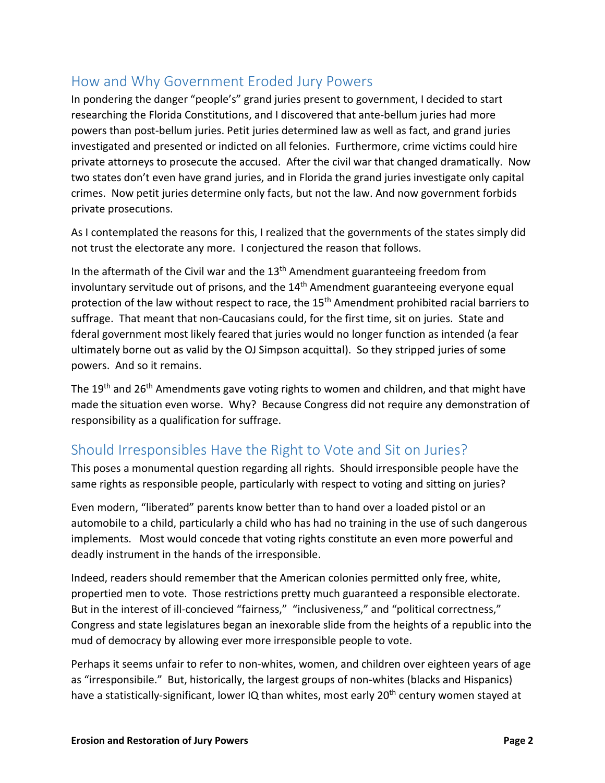### How and Why Government Eroded Jury Powers

In pondering the danger "people's" grand juries present to government, I decided to start researching the Florida Constitutions, and I discovered that ante-bellum juries had more powers than post-bellum juries. Petit juries determined law as well as fact, and grand juries investigated and presented or indicted on all felonies. Furthermore, crime victims could hire private attorneys to prosecute the accused. After the civil war that changed dramatically. Now two states don't even have grand juries, and in Florida the grand juries investigate only capital crimes. Now petit juries determine only facts, but not the law. And now government forbids private prosecutions.

As I contemplated the reasons for this, I realized that the governments of the states simply did not trust the electorate any more. I conjectured the reason that follows.

In the aftermath of the Civil war and the  $13<sup>th</sup>$  Amendment guaranteeing freedom from involuntary servitude out of prisons, and the  $14<sup>th</sup>$  Amendment guaranteeing everyone equal protection of the law without respect to race, the 15<sup>th</sup> Amendment prohibited racial barriers to suffrage. That meant that non-Caucasians could, for the first time, sit on juries. State and fderal government most likely feared that juries would no longer function as intended (a fear ultimately borne out as valid by the OJ Simpson acquittal). So they stripped juries of some powers. And so it remains.

The 19<sup>th</sup> and 26<sup>th</sup> Amendments gave voting rights to women and children, and that might have made the situation even worse. Why? Because Congress did not require any demonstration of responsibility as a qualification for suffrage.

#### Should Irresponsibles Have the Right to Vote and Sit on Juries?

This poses a monumental question regarding all rights. Should irresponsible people have the same rights as responsible people, particularly with respect to voting and sitting on juries?

Even modern, "liberated" parents know better than to hand over a loaded pistol or an automobile to a child, particularly a child who has had no training in the use of such dangerous implements. Most would concede that voting rights constitute an even more powerful and deadly instrument in the hands of the irresponsible.

Indeed, readers should remember that the American colonies permitted only free, white, propertied men to vote. Those restrictions pretty much guaranteed a responsible electorate. But in the interest of ill-concieved "fairness," "inclusiveness," and "political correctness," Congress and state legislatures began an inexorable slide from the heights of a republic into the mud of democracy by allowing ever more irresponsible people to vote.

Perhaps it seems unfair to refer to non-whites, women, and children over eighteen years of age as "irresponsibile." But, historically, the largest groups of non-whites (blacks and Hispanics) have a statistically-significant, lower IQ than whites, most early 20<sup>th</sup> century women stayed at